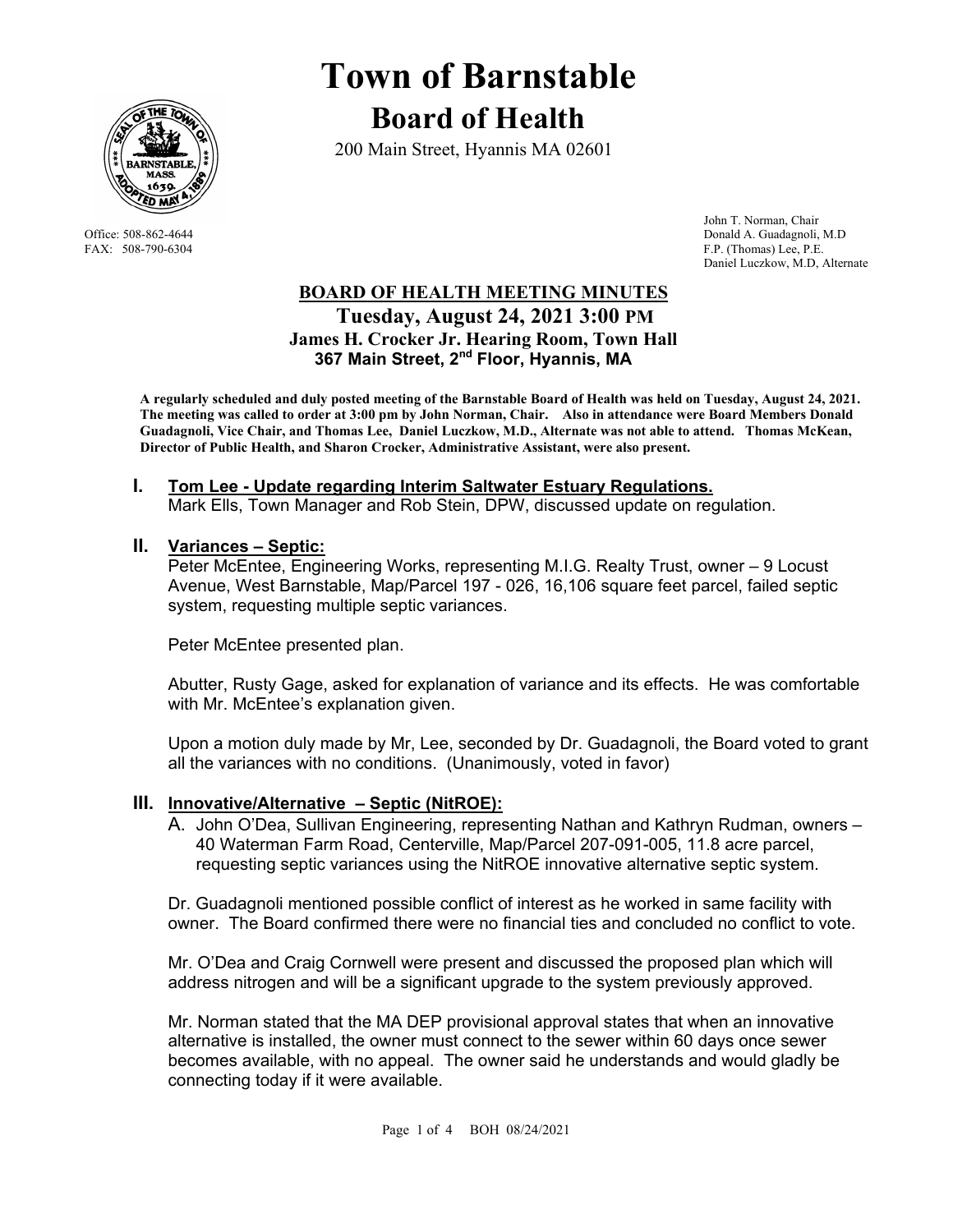

# **Town of Barnstable Board of Health**

200 Main Street, Hyannis MA 02601

 John T. Norman, Chair Office: 508-862-4644 Donald A. Guadagnoli, M.D FAX: 508-790-6304 F.P. (Thomas) Lee, P.E. Daniel Luczkow, M.D, Alternate

## **BOARD OF HEALTH MEETING MINUTES Tuesday, August 24, 2021 3:00 PM James H. Crocker Jr. Hearing Room, Town Hall 367 Main Street, 2nd Floor, Hyannis, MA**

**A regularly scheduled and duly posted meeting of the Barnstable Board of Health was held on Tuesday, August 24, 2021. The meeting was called to order at 3:00 pm by John Norman, Chair. Also in attendance were Board Members Donald Guadagnoli, Vice Chair, and Thomas Lee, Daniel Luczkow, M.D., Alternate was not able to attend. Thomas McKean, Director of Public Health, and Sharon Crocker, Administrative Assistant, were also present.** 

## **I. Tom Lee - Update regarding Interim Saltwater Estuary Regulations.**

Mark Ells, Town Manager and Rob Stein, DPW, discussed update on regulation.

### **II. Variances – Septic:**

Peter McEntee, Engineering Works, representing M.I.G. Realty Trust, owner – 9 Locust Avenue, West Barnstable, Map/Parcel 197 - 026, 16,106 square feet parcel, failed septic system, requesting multiple septic variances.

Peter McEntee presented plan.

Abutter, Rusty Gage, asked for explanation of variance and its effects. He was comfortable with Mr. McEntee's explanation given.

Upon a motion duly made by Mr, Lee, seconded by Dr. Guadagnoli, the Board voted to grant all the variances with no conditions. (Unanimously, voted in favor)

## **III. Innovative/Alternative – Septic (NitROE):**

A. John O'Dea, Sullivan Engineering, representing Nathan and Kathryn Rudman, owners – 40 Waterman Farm Road, Centerville, Map/Parcel 207-091-005, 11.8 acre parcel, requesting septic variances using the NitROE innovative alternative septic system.

Dr. Guadagnoli mentioned possible conflict of interest as he worked in same facility with owner. The Board confirmed there were no financial ties and concluded no conflict to vote.

Mr. O'Dea and Craig Cornwell were present and discussed the proposed plan which will address nitrogen and will be a significant upgrade to the system previously approved.

Mr. Norman stated that the MA DEP provisional approval states that when an innovative alternative is installed, the owner must connect to the sewer within 60 days once sewer becomes available, with no appeal. The owner said he understands and would gladly be connecting today if it were available.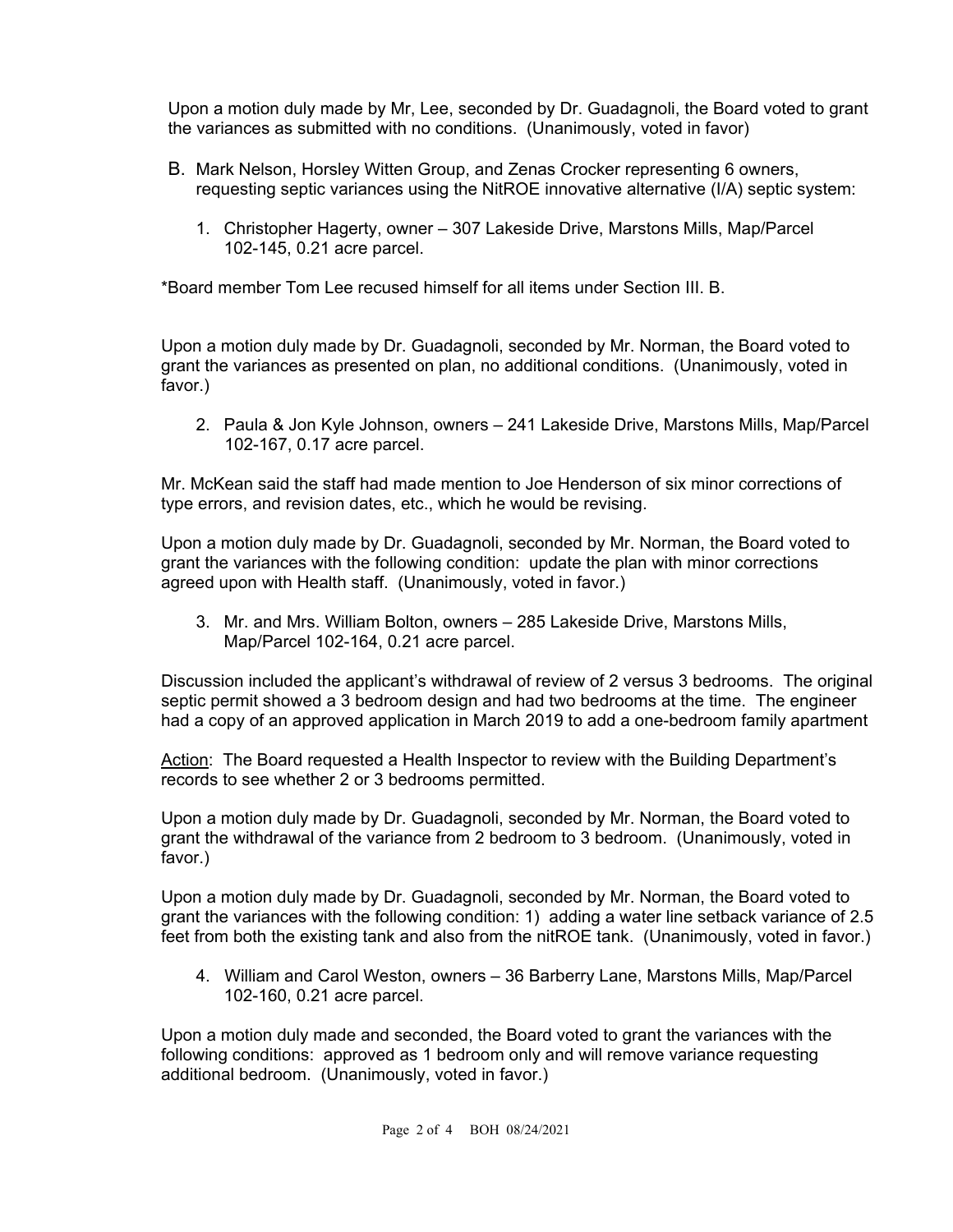Upon a motion duly made by Mr, Lee, seconded by Dr. Guadagnoli, the Board voted to grant the variances as submitted with no conditions. (Unanimously, voted in favor)

- B. Mark Nelson, Horsley Witten Group, and Zenas Crocker representing 6 owners, requesting septic variances using the NitROE innovative alternative (I/A) septic system:
	- 1. Christopher Hagerty, owner 307 Lakeside Drive, Marstons Mills, Map/Parcel 102-145, 0.21 acre parcel.

\*Board member Tom Lee recused himself for all items under Section III. B.

Upon a motion duly made by Dr. Guadagnoli, seconded by Mr. Norman, the Board voted to grant the variances as presented on plan, no additional conditions. (Unanimously, voted in favor.)

2. Paula & Jon Kyle Johnson, owners – 241 Lakeside Drive, Marstons Mills, Map/Parcel 102-167, 0.17 acre parcel.

Mr. McKean said the staff had made mention to Joe Henderson of six minor corrections of type errors, and revision dates, etc., which he would be revising.

Upon a motion duly made by Dr. Guadagnoli, seconded by Mr. Norman, the Board voted to grant the variances with the following condition: update the plan with minor corrections agreed upon with Health staff. (Unanimously, voted in favor.)

3. Mr. and Mrs. William Bolton, owners – 285 Lakeside Drive, Marstons Mills, Map/Parcel 102-164, 0.21 acre parcel.

Discussion included the applicant's withdrawal of review of 2 versus 3 bedrooms. The original septic permit showed a 3 bedroom design and had two bedrooms at the time. The engineer had a copy of an approved application in March 2019 to add a one-bedroom family apartment

Action: The Board requested a Health Inspector to review with the Building Department's records to see whether 2 or 3 bedrooms permitted.

Upon a motion duly made by Dr. Guadagnoli, seconded by Mr. Norman, the Board voted to grant the withdrawal of the variance from 2 bedroom to 3 bedroom. (Unanimously, voted in favor.)

Upon a motion duly made by Dr. Guadagnoli, seconded by Mr. Norman, the Board voted to grant the variances with the following condition: 1) adding a water line setback variance of 2.5 feet from both the existing tank and also from the nitROE tank. (Unanimously, voted in favor.)

4. William and Carol Weston, owners – 36 Barberry Lane, Marstons Mills, Map/Parcel 102-160, 0.21 acre parcel.

Upon a motion duly made and seconded, the Board voted to grant the variances with the following conditions: approved as 1 bedroom only and will remove variance requesting additional bedroom. (Unanimously, voted in favor.)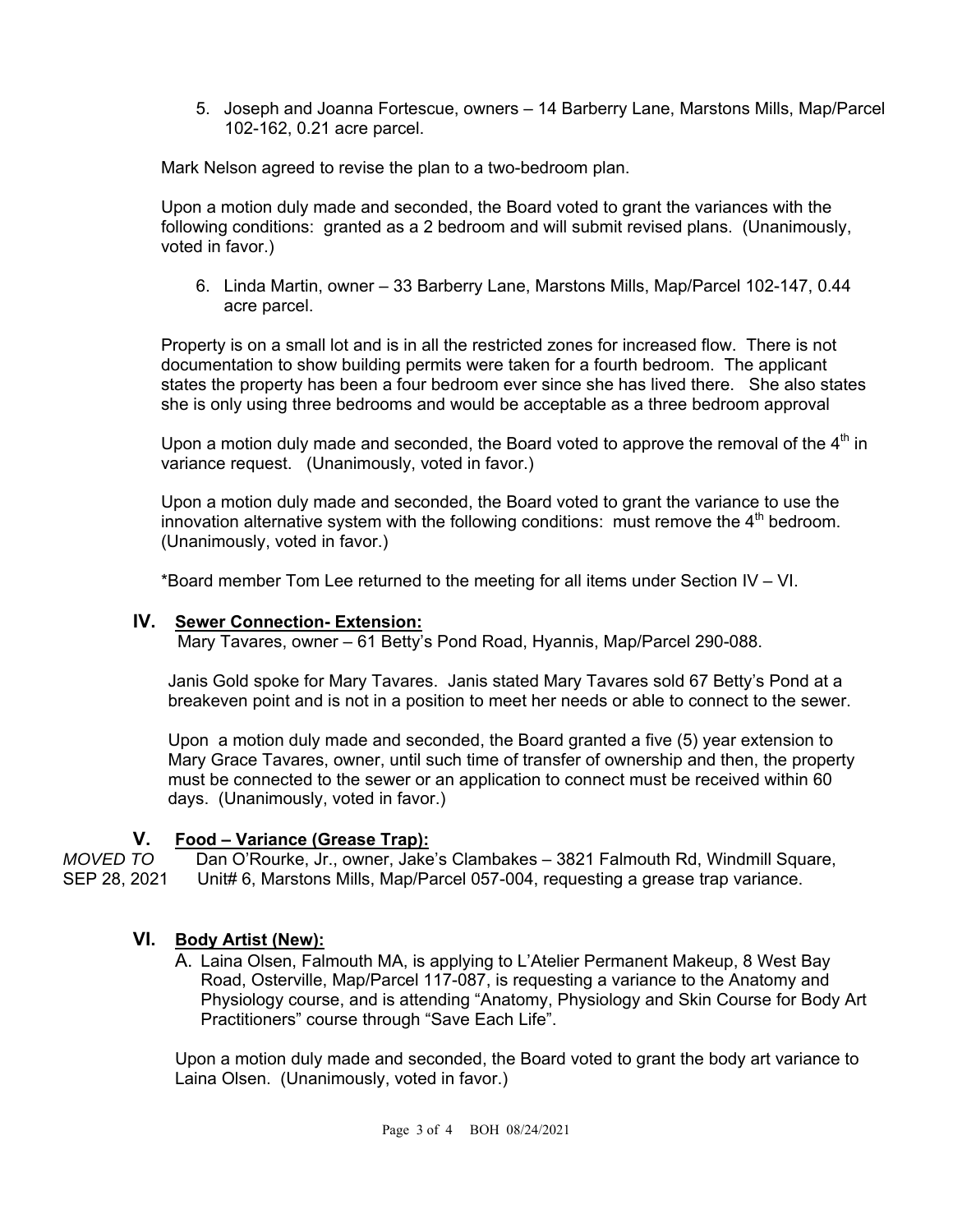5. Joseph and Joanna Fortescue, owners – 14 Barberry Lane, Marstons Mills, Map/Parcel 102-162, 0.21 acre parcel.

Mark Nelson agreed to revise the plan to a two-bedroom plan.

Upon a motion duly made and seconded, the Board voted to grant the variances with the following conditions: granted as a 2 bedroom and will submit revised plans. (Unanimously, voted in favor.)

6. Linda Martin, owner – 33 Barberry Lane, Marstons Mills, Map/Parcel 102-147, 0.44 acre parcel.

Property is on a small lot and is in all the restricted zones for increased flow. There is not documentation to show building permits were taken for a fourth bedroom. The applicant states the property has been a four bedroom ever since she has lived there. She also states she is only using three bedrooms and would be acceptable as a three bedroom approval

Upon a motion duly made and seconded, the Board voted to approve the removal of the  $4<sup>th</sup>$  in variance request. (Unanimously, voted in favor.)

Upon a motion duly made and seconded, the Board voted to grant the variance to use the innovation alternative system with the following conditions: must remove the  $4<sup>th</sup>$  bedroom. (Unanimously, voted in favor.)

\*Board member Tom Lee returned to the meeting for all items under Section IV – VI.

#### **IV. Sewer Connection- Extension:**

Mary Tavares, owner – 61 Betty's Pond Road, Hyannis, Map/Parcel 290-088.

Janis Gold spoke for Mary Tavares. Janis stated Mary Tavares sold 67 Betty's Pond at a breakeven point and is not in a position to meet her needs or able to connect to the sewer.

Upon a motion duly made and seconded, the Board granted a five (5) year extension to Mary Grace Tavares, owner, until such time of transfer of ownership and then, the property must be connected to the sewer or an application to connect must be received within 60 days. (Unanimously, voted in favor.)

### **V. Food – Variance (Grease Trap):**

*MOVED TO* Dan O'Rourke, Jr., owner, Jake's Clambakes – 3821 Falmouth Rd, Windmill Square, SEP 28, 2021 Unit# 6, Marstons Mills, Map/Parcel 057-004, requesting a grease trap variance.

### **VI. Body Artist (New):**

A. Laina Olsen, Falmouth MA, is applying to L'Atelier Permanent Makeup, 8 West Bay Road, Osterville, Map/Parcel 117-087, is requesting a variance to the Anatomy and Physiology course, and is attending "Anatomy, Physiology and Skin Course for Body Art Practitioners" course through "Save Each Life".

Upon a motion duly made and seconded, the Board voted to grant the body art variance to Laina Olsen. (Unanimously, voted in favor.)